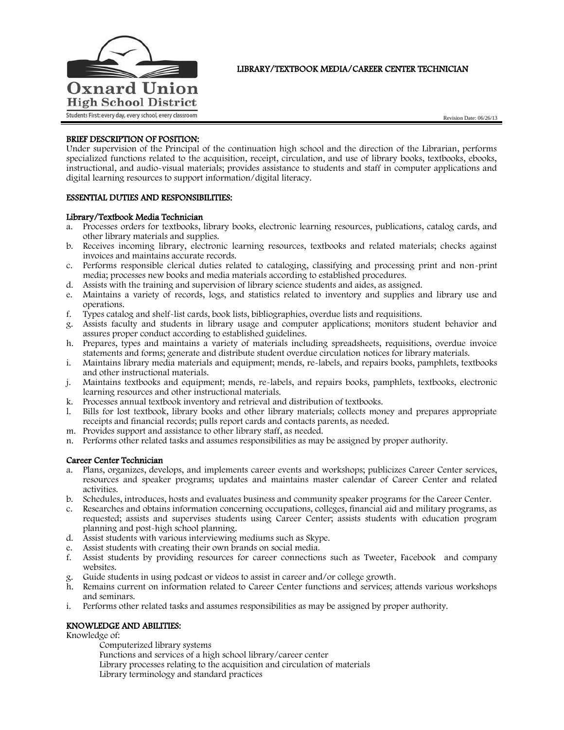

# LIBRARY/TEXTBOOK MEDIA/CAREER CENTER TECHNICIAN

Revision Date: 06/26/13

## BRIEF DESCRIPTION OF POSITION:

Under supervision of the Principal of the continuation high school and the direction of the Librarian, performs specialized functions related to the acquisition, receipt, circulation, and use of library books, textbooks, ebooks, instructional, and audio-visual materials; provides assistance to students and staff in computer applications and digital learning resources to support information/digital literacy.

## ESSENTIAL DUTIES AND RESPONSIBILITIES:

### Library/Textbook Media Technician

- a. Processes orders for textbooks, library books, electronic learning resources, publications, catalog cards, and other library materials and supplies.
- b. Receives incoming library, electronic learning resources, textbooks and related materials; checks against invoices and maintains accurate records.
- c. Performs responsible clerical duties related to cataloging, classifying and processing print and non-print media; processes new books and media materials according to established procedures.
- d. Assists with the training and supervision of library science students and aides, as assigned.
- e. Maintains a variety of records, logs, and statistics related to inventory and supplies and library use and operations.
- f. Types catalog and shelf-list cards, book lists, bibliographies, overdue lists and requisitions.
- g. Assists faculty and students in library usage and computer applications; monitors student behavior and assures proper conduct according to established guidelines.
- h. Prepares, types and maintains a variety of materials including spreadsheets, requisitions, overdue invoice statements and forms; generate and distribute student overdue circulation notices for library materials.
- i. Maintains library media materials and equipment; mends, re-labels, and repairs books, pamphlets, textbooks and other instructional materials.
- j. Maintains textbooks and equipment; mends, re-labels, and repairs books, pamphlets, textbooks, electronic learning resources and other instructional materials.
- k. Processes annual textbook inventory and retrieval and distribution of textbooks.
- l. Bills for lost textbook, library books and other library materials; collects money and prepares appropriate receipts and financial records; pulls report cards and contacts parents, as needed.
- m. Provides support and assistance to other library staff, as needed.
- n. Performs other related tasks and assumes responsibilities as may be assigned by proper authority.

#### Career Center Technician

- a. Plans, organizes, develops, and implements career events and workshops; publicizes Career Center services, resources and speaker programs; updates and maintains master calendar of Career Center and related activities.
- b. Schedules, introduces, hosts and evaluates business and community speaker programs for the Career Center.
- c. Researches and obtains information concerning occupations, colleges, financial aid and military programs, as requested; assists and supervises students using Career Center; assists students with education program planning and post-high school planning.
- d. Assist students with various interviewing mediums such as Skype.
- e. Assist students with creating their own brands on social media.
- f. Assist students by providing resources for career connections such as Tweeter, Facebook and company websites.
- g. Guide students in using podcast or videos to assist in career and/or college growth.
- h. Remains current on information related to Career Center functions and services; attends various workshops and seminars.
- i. Performs other related tasks and assumes responsibilities as may be assigned by proper authority.

## KNOWLEDGE AND ABILITIES:

### Knowledge of:

Computerized library systems Functions and services of a high school library/career center Library processes relating to the acquisition and circulation of materials Library terminology and standard practices